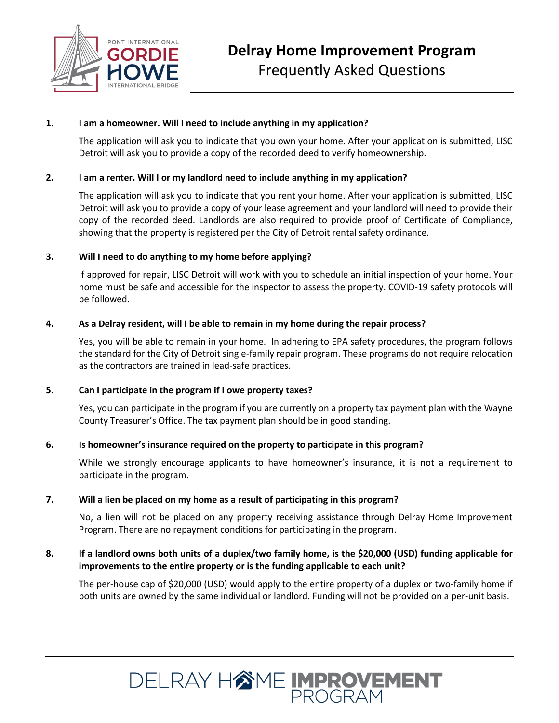

### **1. I am a homeowner. Will I need to include anything in my application?**

The application will ask you to indicate that you own your home. After your application is submitted, LISC Detroit will ask you to provide a copy of the recorded deed to verify homeownership.

### **2. I am a renter. Will I or my landlord need to include anything in my application?**

The application will ask you to indicate that you rent your home. After your application is submitted, LISC Detroit will ask you to provide a copy of your lease agreement and your landlord will need to provide their copy of the recorded deed. Landlords are also required to provide proof of Certificate of Compliance, showing that the property is registered per the City of Detroit rental safety ordinance.

#### **3. Will I need to do anything to my home before applying?**

If approved for repair, LISC Detroit will work with you to schedule an initial inspection of your home. Your home must be safe and accessible for the inspector to assess the property. COVID-19 safety protocols will be followed.

### **4. As a Delray resident, will I be able to remain in my home during the repair process?**

Yes, you will be able to remain in your home. In adhering to EPA safety procedures, the program follows the standard for the City of Detroit single-family repair program. These programs do not require relocation as the contractors are trained in lead-safe practices.

#### **5. Can I participate in the program if I owe property taxes?**

Yes, you can participate in the program if you are currently on a property tax payment plan with the Wayne County Treasurer's Office. The tax payment plan should be in good standing.

#### **6. Is homeowner's insurance required on the property to participate in this program?**

While we strongly encourage applicants to have homeowner's insurance, it is not a requirement to participate in the program.

#### **7. Will a lien be placed on my home as a result of participating in this program?**

No, a lien will not be placed on any property receiving assistance through Delray Home Improvement Program. There are no repayment conditions for participating in the program.

### **8. If a landlord owns both units of a duplex/two family home, is the \$20,000 (USD) funding applicable for improvements to the entire property or is the funding applicable to each unit?**

The per-house cap of \$20,000 (USD) would apply to the entire property of a duplex or two-family home if both units are owned by the same individual or landlord. Funding will not be provided on a per-unit basis.

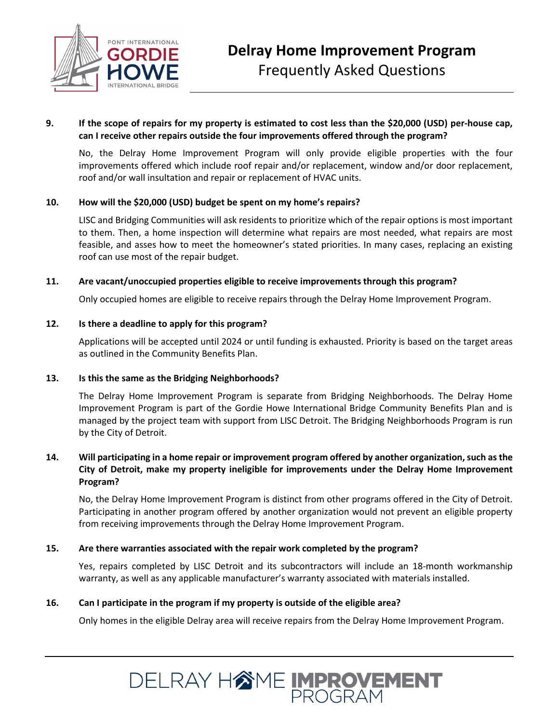

# **9. If the scope of repairs for my property is estimated to cost less than the \$20,000 (USD) per-house cap, can I receive other repairs outside the four improvements offered through the program?**

No, the Delray Home Improvement Program will only provide eligible properties with the four improvements offered which include roof repair and/or replacement, window and/or door replacement, roof and/or wall insultation and repair or replacement of HVAC units.

#### **10. How will the \$20,000 (USD) budget be spent on my home's repairs?**

LISC and Bridging Communities will ask residents to prioritize which of the repair options is most important to them. Then, a home inspection will determine what repairs are most needed, what repairs are most feasible, and asses how to meet the homeowner's stated priorities. In many cases, replacing an existing roof can use most of the repair budget.

### **11. Are vacant/unoccupied properties eligible to receive improvements through this program?**

Only occupied homes are eligible to receive repairs through the Delray Home Improvement Program.

### **12. Is there a deadline to apply for this program?**

Applications will be accepted until 2024 or until funding is exhausted. Priority is based on the target areas as outlined in the Community Benefits Plan.

#### **13. Is this the same as the Bridging Neighborhoods?**

The Delray Home Improvement Program is separate from Bridging Neighborhoods. The Delray Home Improvement Program is part of the Gordie Howe International Bridge Community Benefits Plan and is managed by the project team with support from LISC Detroit. The Bridging Neighborhoods Program is run by the City of Detroit.

### **14. Will participating in a home repair or improvement program offered by another organization, such as the City of Detroit, make my property ineligible for improvements under the Delray Home Improvement Program?**

No, the Delray Home Improvement Program is distinct from other programs offered in the City of Detroit. Participating in another program offered by another organization would not prevent an eligible property from receiving improvements through the Delray Home Improvement Program.

#### **15. Are there warranties associated with the repair work completed by the program?**

Yes, repairs completed by LISC Detroit and its subcontractors will include an 18-month workmanship warranty, as well as any applicable manufacturer's warranty associated with materials installed.

#### **16. Can I participate in the program if my property is outside of the eligible area?**

Only homes in the eligible Delray area will receive repairs from the Delray Home Improvement Program.

DELRAY HAME IMPROVEMENT